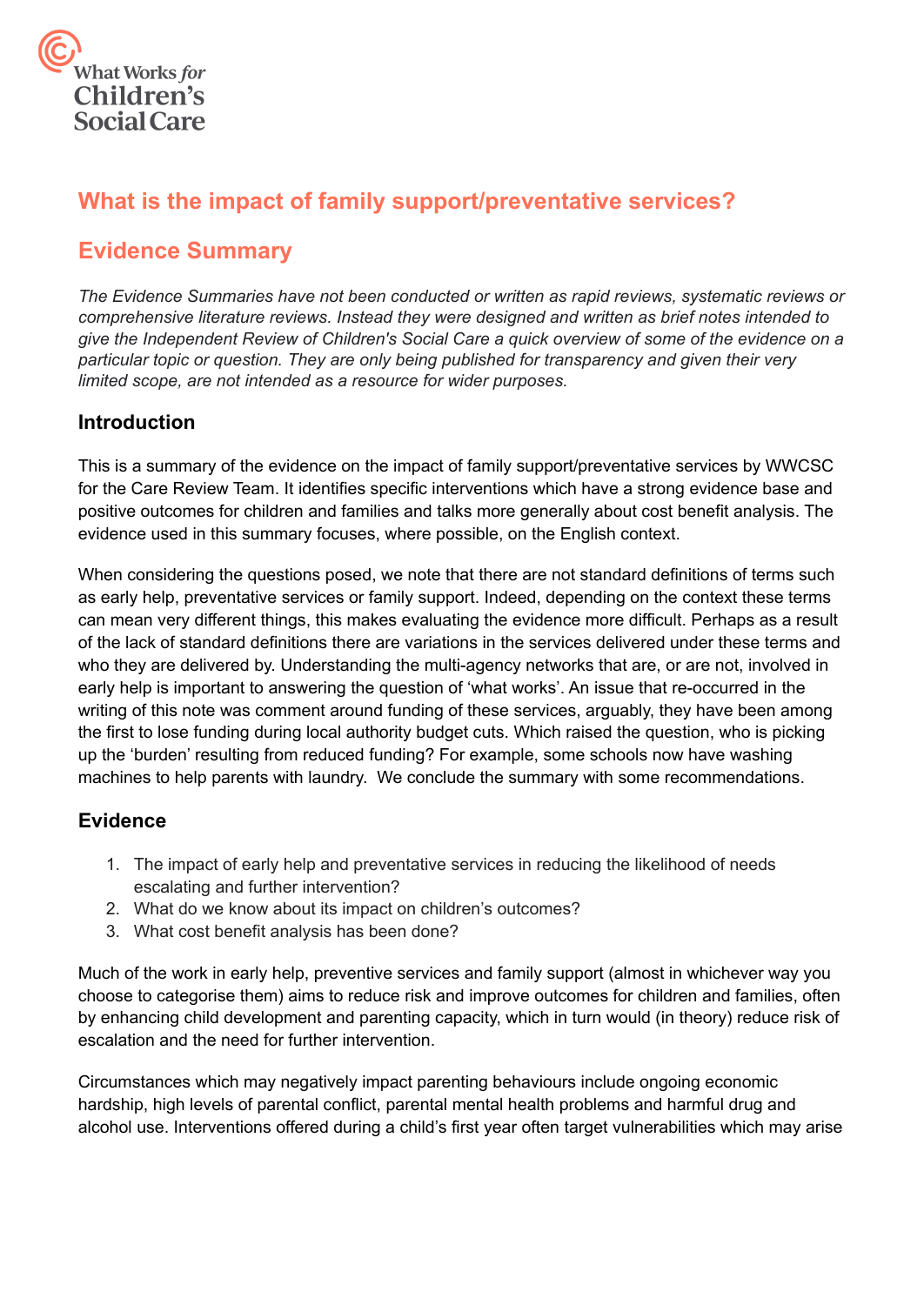

# **What is the impact of family support/preventative services?**

# **Evidence Summary**

*The Evidence Summaries have not been conducted or written as rapid reviews, systematic reviews or comprehensive literature reviews. Instead they were designed and written as brief notes intended to* give the Independent Review of Children's Social Care a quick overview of some of the evidence on a *particular topic or question. They are only being published for transparency and given their very limited scope, are not intended as a resource for wider purposes.*

## **Introduction**

This is a summary of the evidence on the impact of family support/preventative services by WWCSC for the Care Review Team. It identifies specific interventions which have a strong evidence base and positive outcomes for children and families and talks more generally about cost benefit analysis. The evidence used in this summary focuses, where possible, on the English context.

When considering the questions posed, we note that there are not standard definitions of terms such as early help, preventative services or family support. Indeed, depending on the context these terms can mean very different things, this makes evaluating the evidence more difficult. Perhaps as a result of the lack of standard definitions there are variations in the services delivered under these terms and who they are delivered by. Understanding the multi-agency networks that are, or are not, involved in early help is important to answering the question of 'what works'. An issue that re-occurred in the writing of this note was comment around funding of these services, arguably, they have been among the first to lose funding during local authority budget cuts. Which raised the question, who is picking up the 'burden' resulting from reduced funding? For example, some schools now have washing machines to help parents with laundry. We conclude the summary with some recommendations.

### **Evidence**

- 1. The impact of early help and preventative services in reducing the likelihood of needs escalating and further intervention?
- 2. What do we know about its impact on children's outcomes?
- 3. What cost benefit analysis has been done?

Much of the work in early help, preventive services and family support (almost in whichever way you choose to categorise them) aims to reduce risk and improve outcomes for children and families, often by enhancing child development and parenting capacity, which in turn would (in theory) reduce risk of escalation and the need for further intervention.

Circumstances which may negatively impact parenting behaviours include ongoing economic hardship, high levels of parental conflict, parental mental health problems and harmful drug and alcohol use. Interventions offered during a child's first year often target vulnerabilities which may arise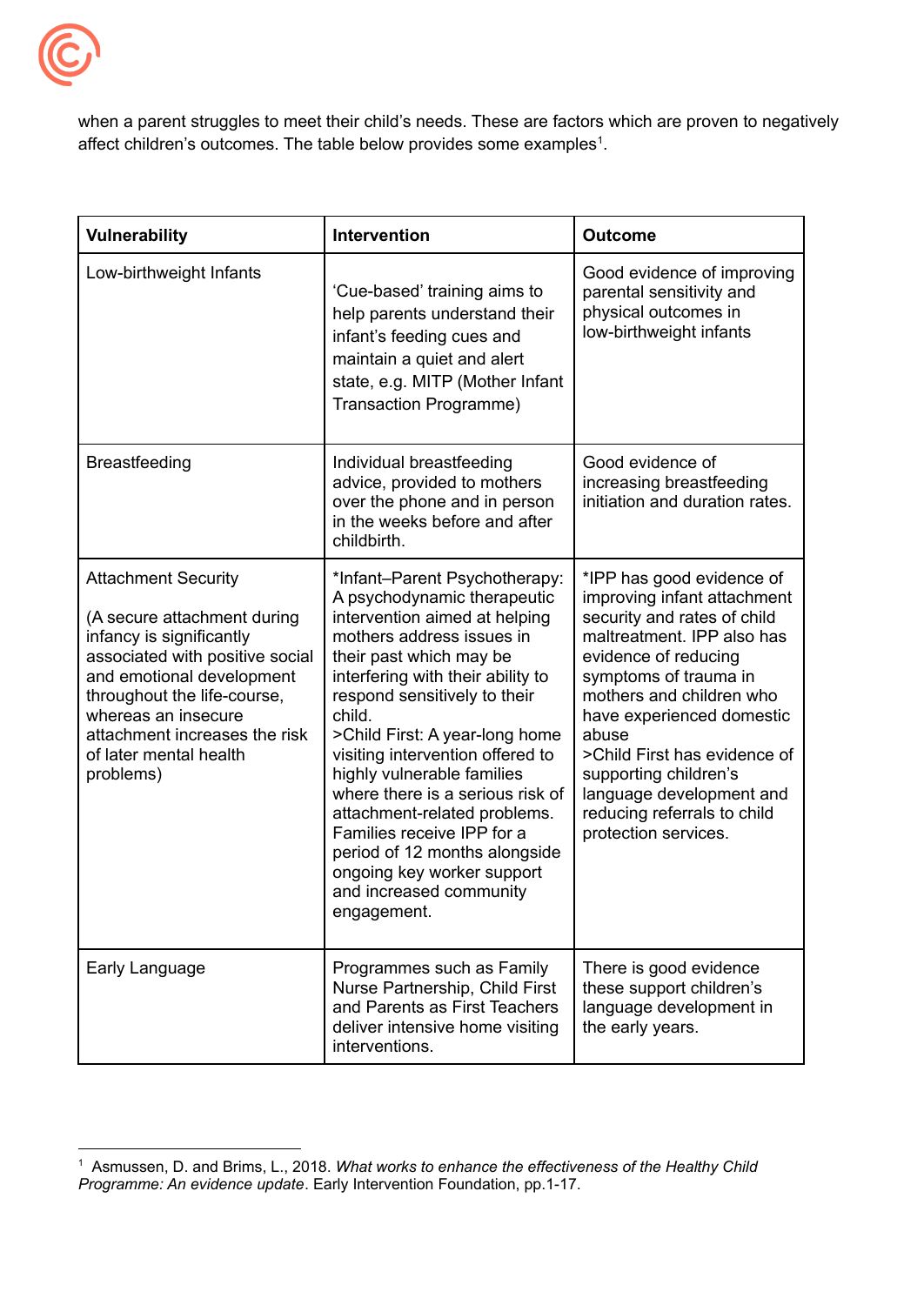

when a parent struggles to meet their child's needs. These are factors which are proven to negatively affect children's outcomes. The table below provides some examples<sup>1</sup>.

| <b>Vulnerability</b>                                                                                                                                                                                                                                                                | <b>Intervention</b>                                                                                                                                                                                                                                                                                                                                                                                                                                                                                                                                 | <b>Outcome</b>                                                                                                                                                                                                                                                                                                                                                                       |
|-------------------------------------------------------------------------------------------------------------------------------------------------------------------------------------------------------------------------------------------------------------------------------------|-----------------------------------------------------------------------------------------------------------------------------------------------------------------------------------------------------------------------------------------------------------------------------------------------------------------------------------------------------------------------------------------------------------------------------------------------------------------------------------------------------------------------------------------------------|--------------------------------------------------------------------------------------------------------------------------------------------------------------------------------------------------------------------------------------------------------------------------------------------------------------------------------------------------------------------------------------|
| Low-birthweight Infants                                                                                                                                                                                                                                                             | 'Cue-based' training aims to<br>help parents understand their<br>infant's feeding cues and<br>maintain a quiet and alert<br>state, e.g. MITP (Mother Infant<br>Transaction Programme)                                                                                                                                                                                                                                                                                                                                                               | Good evidence of improving<br>parental sensitivity and<br>physical outcomes in<br>low-birthweight infants                                                                                                                                                                                                                                                                            |
| <b>Breastfeeding</b>                                                                                                                                                                                                                                                                | Individual breastfeeding<br>advice, provided to mothers<br>over the phone and in person<br>in the weeks before and after<br>childbirth.                                                                                                                                                                                                                                                                                                                                                                                                             | Good evidence of<br>increasing breastfeeding<br>initiation and duration rates.                                                                                                                                                                                                                                                                                                       |
| <b>Attachment Security</b><br>(A secure attachment during<br>infancy is significantly<br>associated with positive social<br>and emotional development<br>throughout the life-course,<br>whereas an insecure<br>attachment increases the risk<br>of later mental health<br>problems) | *Infant-Parent Psychotherapy:<br>A psychodynamic therapeutic<br>intervention aimed at helping<br>mothers address issues in<br>their past which may be<br>interfering with their ability to<br>respond sensitively to their<br>child.<br>>Child First: A year-long home<br>visiting intervention offered to<br>highly vulnerable families<br>where there is a serious risk of<br>attachment-related problems.<br>Families receive IPP for a<br>period of 12 months alongside<br>ongoing key worker support<br>and increased community<br>engagement. | *IPP has good evidence of<br>improving infant attachment<br>security and rates of child<br>maltreatment. IPP also has<br>evidence of reducing<br>symptoms of trauma in<br>mothers and children who<br>have experienced domestic<br>abuse<br>>Child First has evidence of<br>supporting children's<br>language development and<br>reducing referrals to child<br>protection services. |
| Early Language                                                                                                                                                                                                                                                                      | Programmes such as Family<br>Nurse Partnership, Child First<br>and Parents as First Teachers<br>deliver intensive home visiting<br>interventions.                                                                                                                                                                                                                                                                                                                                                                                                   | There is good evidence<br>these support children's<br>language development in<br>the early years.                                                                                                                                                                                                                                                                                    |

<sup>1</sup> Asmussen, D. and Brims, L., 2018. *What works to enhance the effectiveness of the Healthy Child Programme: An evidence update*. Early Intervention Foundation, pp.1-17.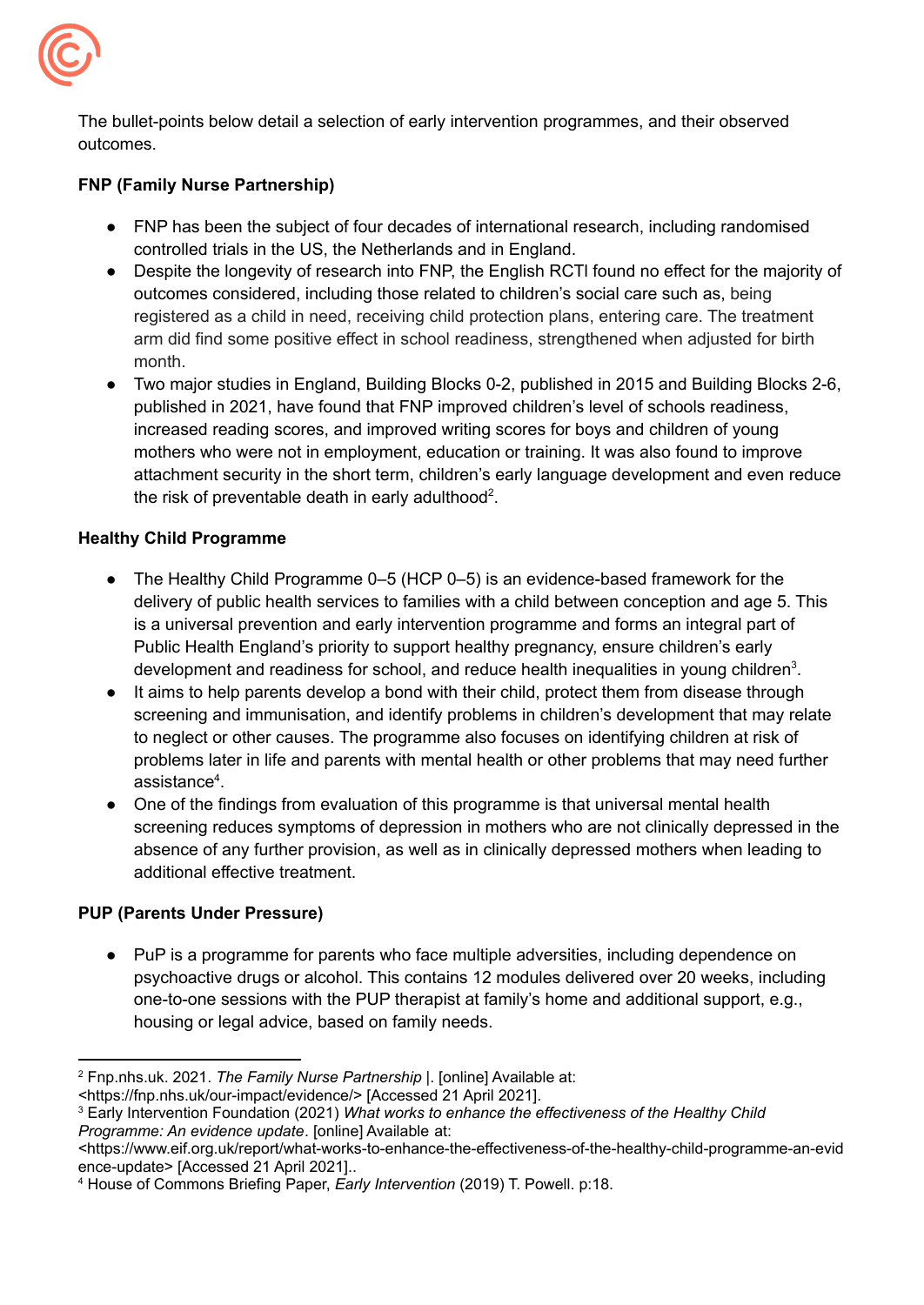

The bullet-points below detail a selection of early intervention programmes, and their observed outcomes.

### **[FNP](https://assets.publishing.service.gov.uk/government/uploads/system/uploads/attachment_data/file/182027/DFE-RR068.pdf) (Family Nurse Partnership)**

- FNP has been the subject of four decades of international research, including randomised controlled trials in the US, the Netherlands and in England.
- Despite the longevity of research into FNP, the English RCTI found no effect for the majority of outcomes considered, including those related to children's social care such as, being registered as a child in need, receiving child protection plans, entering care. The treatment arm did find some positive effect in school readiness, strengthened when adjusted for birth month.
- Two major studies in England, Building Blocks 0-2, published in 2015 and Building Blocks 2-6, published in 2021, have found that FNP improved children's level of schools readiness, increased reading scores, and improved writing scores for boys and children of young mothers who were not in employment, education or training. It was also found to improve attachment security in the short term, children's early language development and even reduce the risk of preventable death in early adulthood<sup>2</sup>.

### **Healthy Child Programme**

- The Healthy Child Programme 0–5 (HCP 0–5) is an evidence-based framework for the delivery of public health services to families with a child between conception and age 5. This is a universal prevention and early intervention programme and forms an integral part of Public Health England's priority to support healthy pregnancy, ensure children's early development and readiness for school, and reduce health inequalities in young children<sup>3</sup>.
- It aims to help parents develop a bond with their child, protect them from disease through screening and immunisation, and identify problems in children's development that may relate to neglect or other causes. The programme also focuses on identifying children at risk of problems later in life and parents with mental health or other problems that may need further assistance 4 .
- One of the findings from evaluation of this programme is that universal mental health screening reduces symptoms of depression in mothers who are not clinically depressed in the absence of any further provision, as well as in clinically depressed mothers when leading to additional effective treatment.

### **PUP (Parents Under Pressure)**

● PuP is a programme for parents who face multiple adversities, including dependence on psychoactive drugs or alcohol. This contains 12 modules delivered over 20 weeks, including one-to-one sessions with the PUP therapist at family's home and additional support, e.g., housing or legal advice, based on family needs.

<sup>2</sup> Fnp.nhs.uk. 2021. *The Family Nurse Partnership |*. [online] Available at:

<sup>&</sup>lt;https://fnp.nhs.uk/our-impact/evidence/> [Accessed 21 April 2021].

<sup>3</sup> Early Intervention Foundation (2021) *What works to enhance the effectiveness of the Healthy Child Programme: An evidence update*. [online] Available at:

<sup>&</sup>lt;https://www.eif.org.uk/report/what-works-to-enhance-the-effectiveness-of-the-healthy-child-programme-an-evid ence-update> [Accessed 21 April 2021]..

<sup>4</sup> House of Commons Briefing Paper, *Early Intervention* (2019) T. Powell. p:18.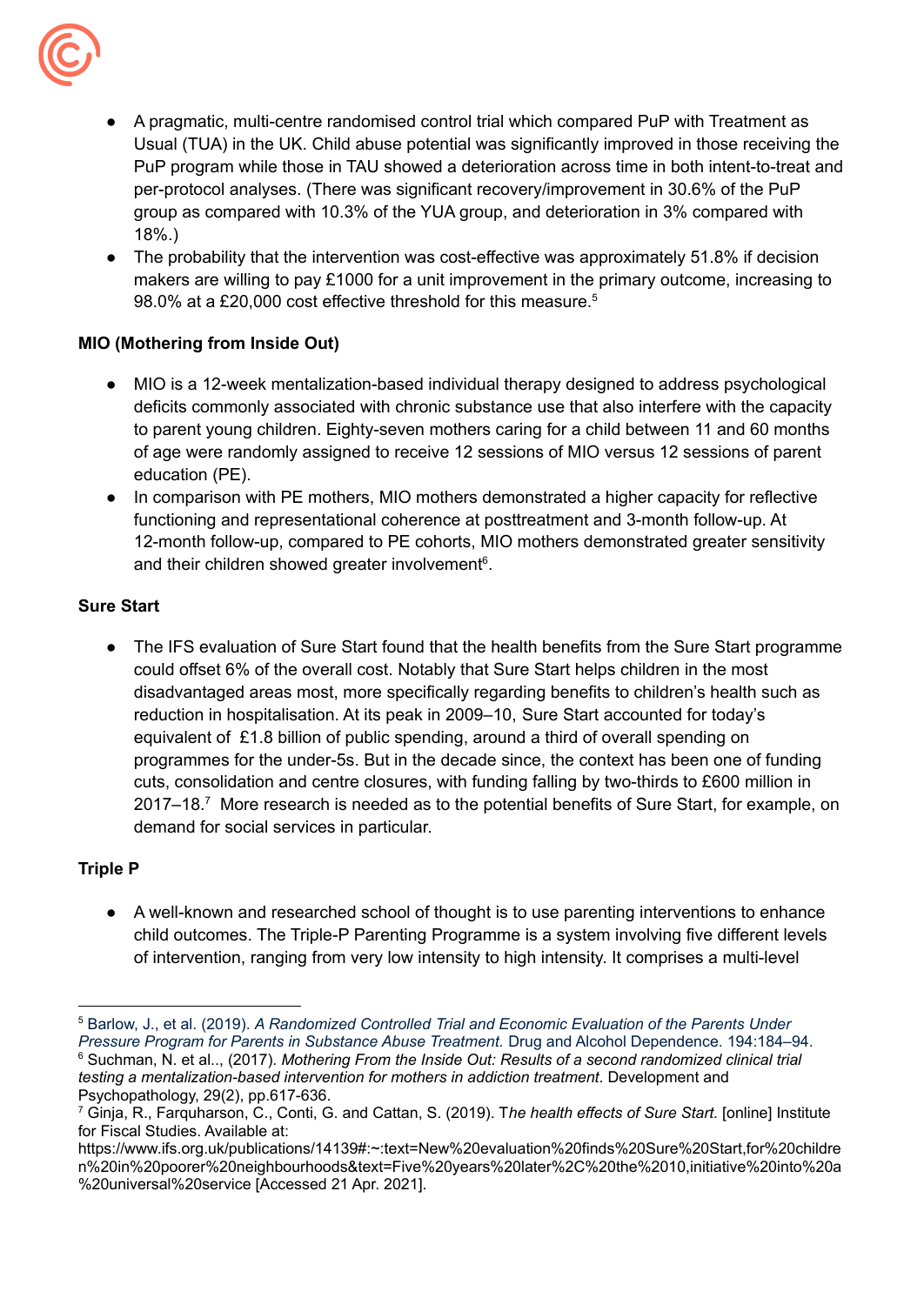

- A pragmatic, multi-centre randomised control trial which compared PuP with Treatment as Usual (TUA) in the UK. Child abuse potential was significantly improved in those receiving the PuP program while those in TAU showed a deterioration across time in both intent-to-treat and per-protocol analyses. (There was significant recovery/improvement in 30.6% of the PuP group as compared with 10.3% of the YUA group, and deterioration in 3% compared with 18%.)
- The probability that the intervention was cost-effective was approximately 51.8% if decision makers are willing to pay £1000 for a unit improvement in the primary outcome, increasing to 98.0% at a £20,000 cost effective threshold for this measure. 5

### **MIO (Mothering from Inside Out)**

- MIO is a 12-week mentalization-based individual therapy designed to address psychological deficits commonly associated with chronic substance use that also interfere with the capacity to parent young children. Eighty-seven mothers caring for a child between 11 and 60 months of age were randomly assigned to receive 12 sessions of MIO versus 12 sessions of parent education (PE).
- In comparison with PE mothers, MIO mothers demonstrated a higher capacity for reflective functioning and representational coherence at posttreatment and 3-month follow-up. At 12-month follow-up, compared to PE cohorts, MIO mothers demonstrated greater sensitivity and their children showed greater involvement<sup>6</sup>.

### **Sure Start**

The IFS evaluation of Sure Start found that the health benefits from the Sure Start programme could offset 6% of the overall cost. Notably that Sure Start helps children in the most disadvantaged areas most, more specifically regarding benefits to children's health such as reduction in hospitalisation. At its peak in 2009–10, Sure Start [accounted](https://www.ifs.org.uk/publications/13306) for today's [equivalent](https://www.ifs.org.uk/publications/13306) of £1.8 billion of public spending, around a third of overall spending on programmes for the under-5s. But in the decade since, the context has been one of funding cuts, consolidation and centre closures, with funding falling by two-thirds to £600 million in 2017–18.<sup>7</sup> More research is needed as to the potential benefits of Sure Start, for example, on demand for social services in particular.

### **Triple P**

● A well-known and researched school of thought is to use parenting interventions to enhance child outcomes. The Triple-P Parenting Programme is a system involving five different levels of intervention, ranging from very low intensity to high intensity. It comprises a multi-level

<sup>6</sup> Suchman, N. et al.., (2017). *Mothering From the Inside Out: Results of a second randomized clinical trial testing a mentalization-based intervention for mothers in addiction treatment*. Development and Psychopathology, 29(2), pp.617-636. <sup>5</sup> Barlow, J., et al. (2019). *A Randomized Controlled Trial and Economic Evaluation of the Parents Under Pressure Program for Parents in Substance Abuse Treatment.* Drug and Alcohol Dependence. 194:184–94.

<sup>7</sup> Ginja, R., Farquharson, C., Conti, G. and Cattan, S. (2019). T*he health effects of Sure Start.* [online] Institute for Fiscal Studies. Available at:

https://www.ifs.org.uk/publications/14139#:~:text=New%20evaluation%20finds%20Sure%20Start,for%20childre n%20in%20poorer%20neighbourhoods&text=Five%20years%20later%2C%20the%2010,initiative%20into%20a %20universal%20service [Accessed 21 Apr. 2021].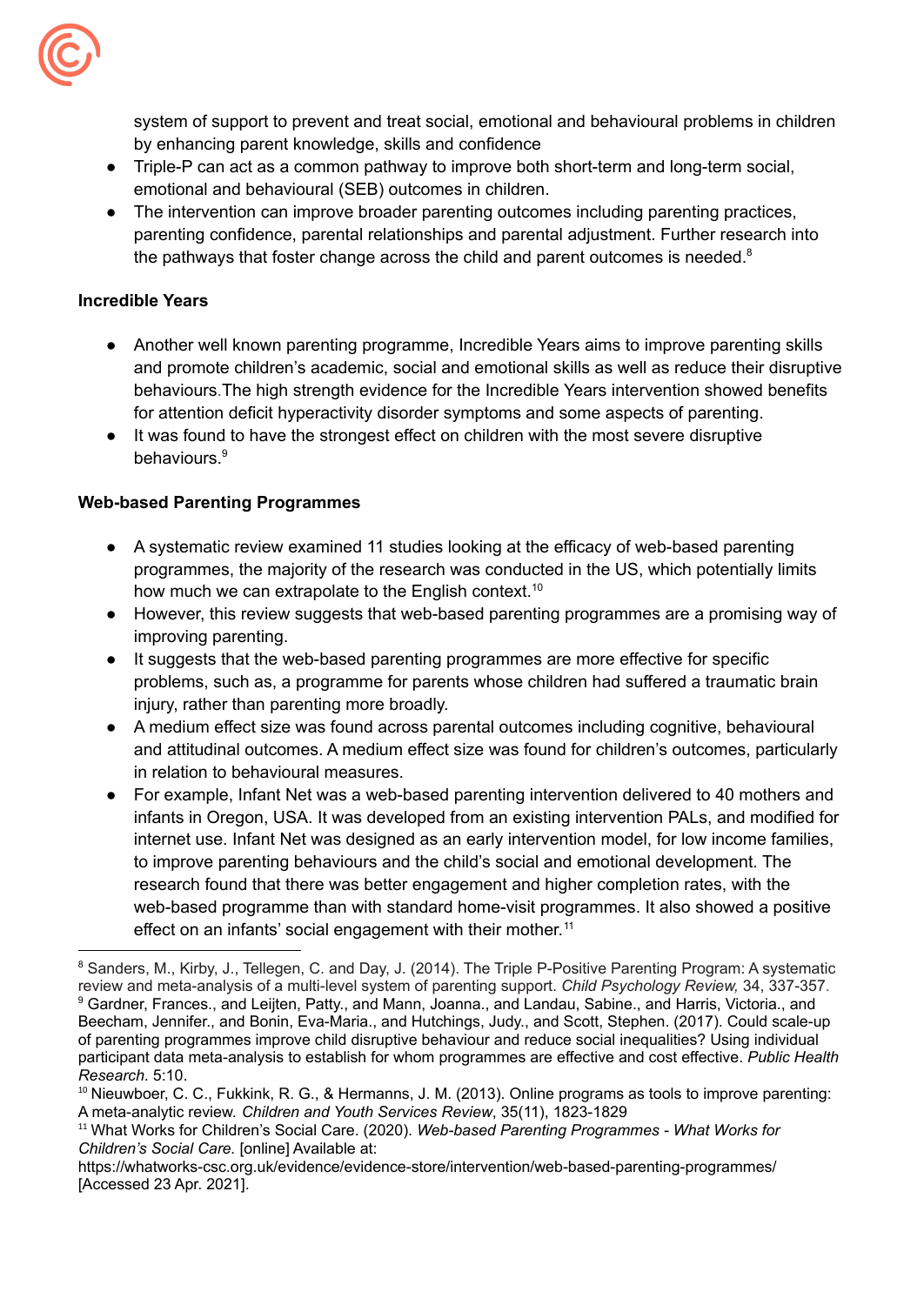

system of support to prevent and treat social, emotional and behavioural problems in children by enhancing parent knowledge, skills and confidence

- Triple-P can act as a common pathway to improve both short-term and long-term social, emotional and behavioural (SEB) outcomes in children.
- The intervention can improve broader parenting outcomes including parenting practices, parenting confidence, parental relationships and parental adjustment. Further research into the pathways that foster change across the child and parent outcomes is needed.<sup>8</sup>

### **Incredible Years**

- Another well known parenting programme, Incredible Years aims to improve parenting skills and promote children's academic, social and emotional skills as well as reduce their disruptive behaviours.The high strength evidence for the Incredible Years intervention showed benefits for attention deficit hyperactivity disorder symptoms and some aspects of parenting.
- It was found to have the strongest effect on children with the most severe disruptive behaviours. 9

### **Web-based Parenting Programmes**

- A systematic review examined 11 studies looking at the efficacy of web-based parenting programmes, the majority of the research was conducted in the US, which potentially limits how much we can extrapolate to the English context.<sup>10</sup>
- However, this review suggests that web-based parenting programmes are a promising way of improving parenting.
- It suggests that the web-based parenting programmes are more effective for specific problems, such as, a programme for parents whose children had suffered a traumatic brain injury, rather than parenting more broadly.
- A medium effect size was found across parental outcomes including cognitive, behavioural and attitudinal outcomes. A medium effect size was found for children's outcomes, particularly in relation to behavioural measures.
- For example, Infant Net was a web-based parenting intervention delivered to 40 mothers and infants in Oregon, USA. It was developed from an existing intervention PALs, and modified for internet use. Infant Net was designed as an early intervention model, for low income families, to improve parenting behaviours and the child's social and emotional development. The research found that there was better engagement and higher completion rates, with the web-based programme than with standard home-visit programmes. It also showed a positive effect on an infants' social engagement with their mother.<sup>11</sup>

<sup>11</sup> What Works for Children's Social Care. (2020). *Web-based Parenting Programmes - What Works for Children's Social Care.* [online] Available at:

<sup>9</sup> Gardner, Frances., and Leijten, Patty., and Mann, Joanna., and Landau, Sabine., and Harris, Victoria., and Beecham, Jennifer., and Bonin, Eva-Maria., and Hutchings, Judy., and Scott, Stephen. (2017). Could scale-up of parenting programmes improve child disruptive behaviour and reduce social inequalities? Using individual participant data meta-analysis to establish for whom programmes are effective and cost effective. *Public Health Research*. 5:10. 8 Sanders, M., Kirby, J., Tellegen, C. and Day, J. (2014). The Triple P-Positive Parenting Program: A [systematic](https://www.researchgate.net/publication/261916623_The_Triple_P-Positive_Parenting_Program_A_Systematic_Review_and_Meta-Analysis_of_a_Multi-Level_System_of_Parenting_Support) review and [meta-analysis](https://www.researchgate.net/publication/261916623_The_Triple_P-Positive_Parenting_Program_A_Systematic_Review_and_Meta-Analysis_of_a_Multi-Level_System_of_Parenting_Support) of a multi-level system of parenting support. *Child Psychology Review,* 34, 337-357.

<sup>&</sup>lt;sup>10</sup> Nieuwboer, C. C., Fukkink, R. G., & Hermanns, J. M. (2013). Online programs as tools to improve parenting: A meta-analytic review. *Children and Youth Services Review*, 35(11), 1823-1829

https://whatworks-csc.org.uk/evidence/evidence-store/intervention/web-based-parenting-programmes/ [Accessed 23 Apr. 2021].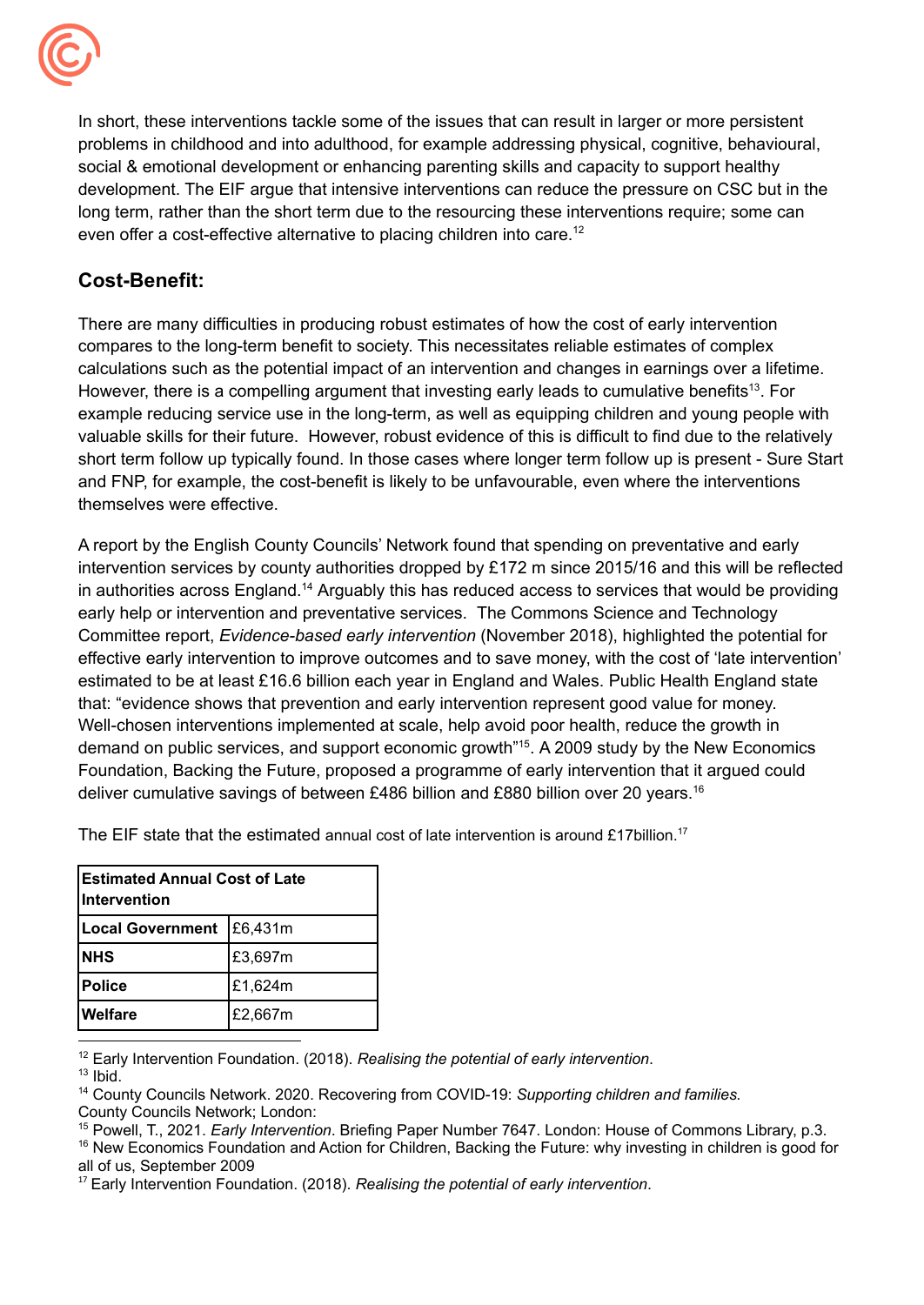

In short, these interventions tackle some of the issues that can result in larger or more persistent problems in childhood and into adulthood, for example addressing physical, cognitive, behavioural, social & emotional development or enhancing parenting skills and capacity to support healthy development. The EIF argue that intensive interventions can reduce the pressure on CSC but in the long term, rather than the short term due to the resourcing these interventions require; some can even offer a cost-effective alternative to placing children into care.<sup>12</sup>

## **Cost-Benefit:**

There are many difficulties in producing robust estimates of how the cost of early intervention compares to the long-term benefit to society. This necessitates reliable estimates of complex calculations such as the potential impact of an intervention and changes in earnings over a lifetime. However, there is a compelling argument that investing early leads to cumulative benefits<sup>13</sup>. For example reducing service use in the long-term, as well as equipping children and young people with valuable skills for their future. However, robust evidence of this is difficult to find due to the relatively short term follow up typically found. In those cases where longer term follow up is present - Sure Start and FNP, for example, the cost-benefit is likely to be unfavourable, even where the interventions themselves were effective.

A report by the English County Councils' Network found that spending on preventative and early intervention services by county authorities dropped by £172 m since 2015/16 and this will be reflected in authorities across England.<sup>14</sup> Arguably this has reduced access to services that would be providing early help or intervention and preventative services. The Commons Science and Technology Committee report, *Evidence-based early intervention* (November 2018), highlighted the potential for effective early intervention to improve outcomes and to save money, with the cost of 'late intervention' estimated to be at least £16.6 billion each year in England and Wales. Public Health England state that: "evidence shows that prevention and early intervention represent good value for money. Well-chosen interventions implemented at scale, help avoid poor health, reduce the growth in demand on public services, and support economic growth<sup>"15</sup>. A 2009 study by the New Economics Foundation, Backing the Future, proposed a programme of early intervention that it argued could deliver cumulative savings of between £486 billion and £880 billion over 20 years.<sup>16</sup>

| lEstimated Annual Cost of Late<br>IIntervention |         |  |
|-------------------------------------------------|---------|--|
| <b>Local Government</b>                         | E6,431m |  |
| <b>NHS</b>                                      | £3,697m |  |
| <b>Police</b>                                   | £1,624m |  |
| <b>Welfare</b>                                  | £2,667m |  |

The EIF state that the estimated annual cost of late intervention is around £17billion.<sup>17</sup>

<sup>12</sup> Early Intervention Foundation. (2018). *Realising the potential of early intervention*.

 $13$  Ibid.

<sup>14</sup> County Councils Network. 2020. Recovering from COVID-19: *Supporting children and families.* County Councils Network; London:

<sup>15</sup> Powell, T., 2021. *Early Intervention*. Briefing Paper Number 7647. London: House of Commons Library, p.3.

<sup>16</sup> New Economics Foundation and Action for Children, Backing the Future: why investing in children is good for all of us, September 2009

<sup>17</sup> Early Intervention Foundation. (2018). *Realising the potential of early intervention*.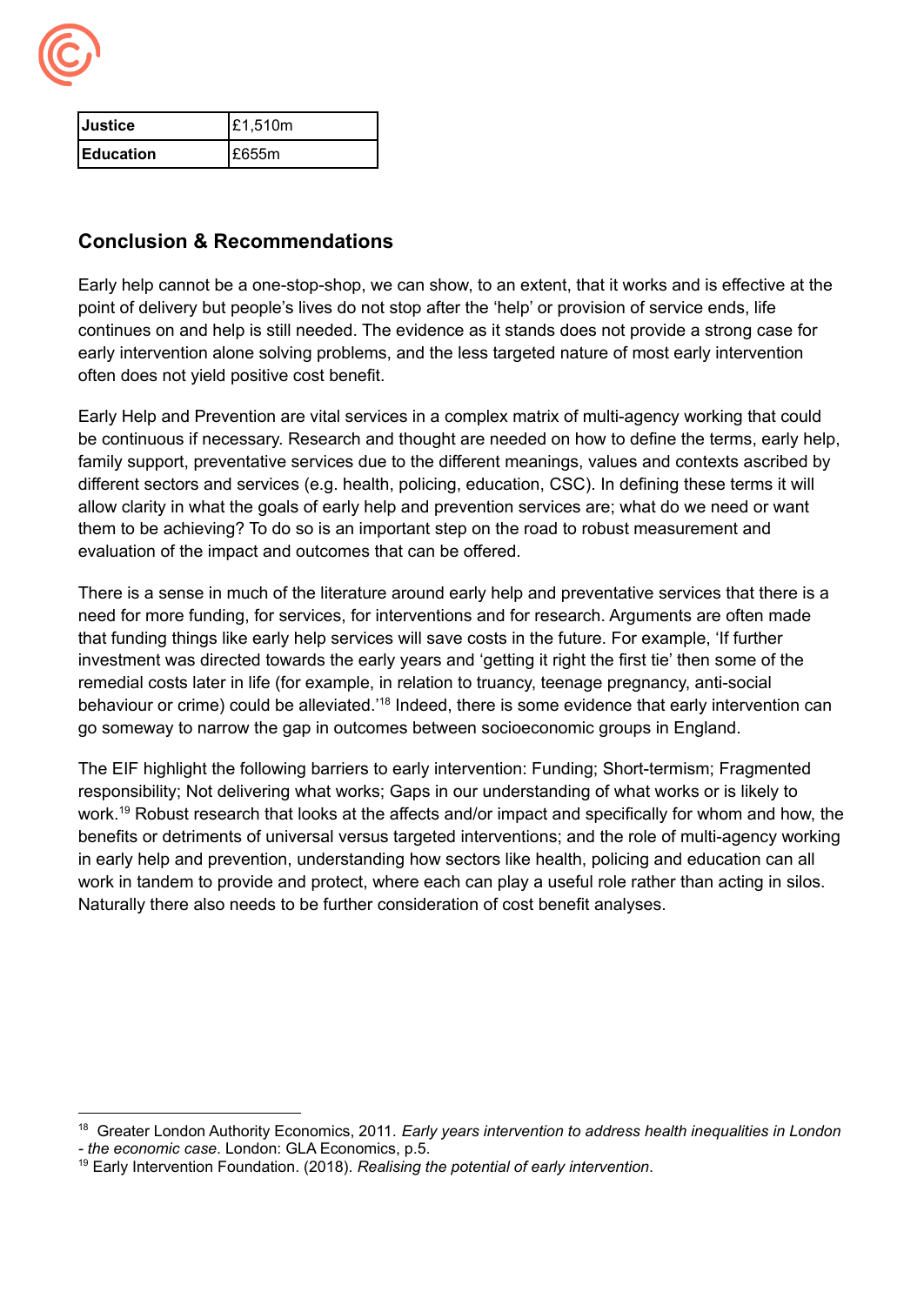

| lJustice          | £1,510m |
|-------------------|---------|
| <b>IEducation</b> | E655m   |

## **Conclusion & Recommendations**

Early help cannot be a one-stop-shop, we can show, to an extent, that it works and is effective at the point of delivery but people's lives do not stop after the 'help' or provision of service ends, life continues on and help is still needed. The evidence as it stands does not provide a strong case for early intervention alone solving problems, and the less targeted nature of most early intervention often does not yield positive cost benefit.

Early Help and Prevention are vital services in a complex matrix of multi-agency working that could be continuous if necessary. Research and thought are needed on how to define the terms, early help, family support, preventative services due to the different meanings, values and contexts ascribed by different sectors and services (e.g. health, policing, education, CSC). In defining these terms it will allow clarity in what the goals of early help and prevention services are; what do we need or want them to be achieving? To do so is an important step on the road to robust measurement and evaluation of the impact and outcomes that can be offered.

There is a sense in much of the literature around early help and preventative services that there is a need for more funding, for services, for interventions and for research. Arguments are often made that funding things like early help services will save costs in the future. For example, 'If further investment was directed towards the early years and 'getting it right the first tie' then some of the remedial costs later in life (for example, in relation to truancy, teenage pregnancy, anti-social behaviour or crime) could be alleviated.<sup>18</sup> Indeed, there is some evidence that early intervention can go someway to narrow the gap in outcomes between socioeconomic groups in England.

The EIF highlight the following barriers to early intervention: Funding; Short-termism; Fragmented responsibility; Not delivering what works; Gaps in our understanding of what works or is likely to work.<sup>19</sup> Robust research that looks at the affects and/or impact and specifically for whom and how, the benefits or detriments of universal versus targeted interventions; and the role of multi-agency working in early help and prevention, understanding how sectors like health, policing and education can all work in tandem to provide and protect, where each can play a useful role rather than acting in silos. Naturally there also needs to be further consideration of cost benefit analyses.

<sup>18</sup> Greater London Authority Economics, 2011. *Early years intervention to address health inequalities in London - the economic case*. London: GLA Economics, p.5.

<sup>19</sup> Early Intervention Foundation. (2018). *Realising the potential of early intervention*.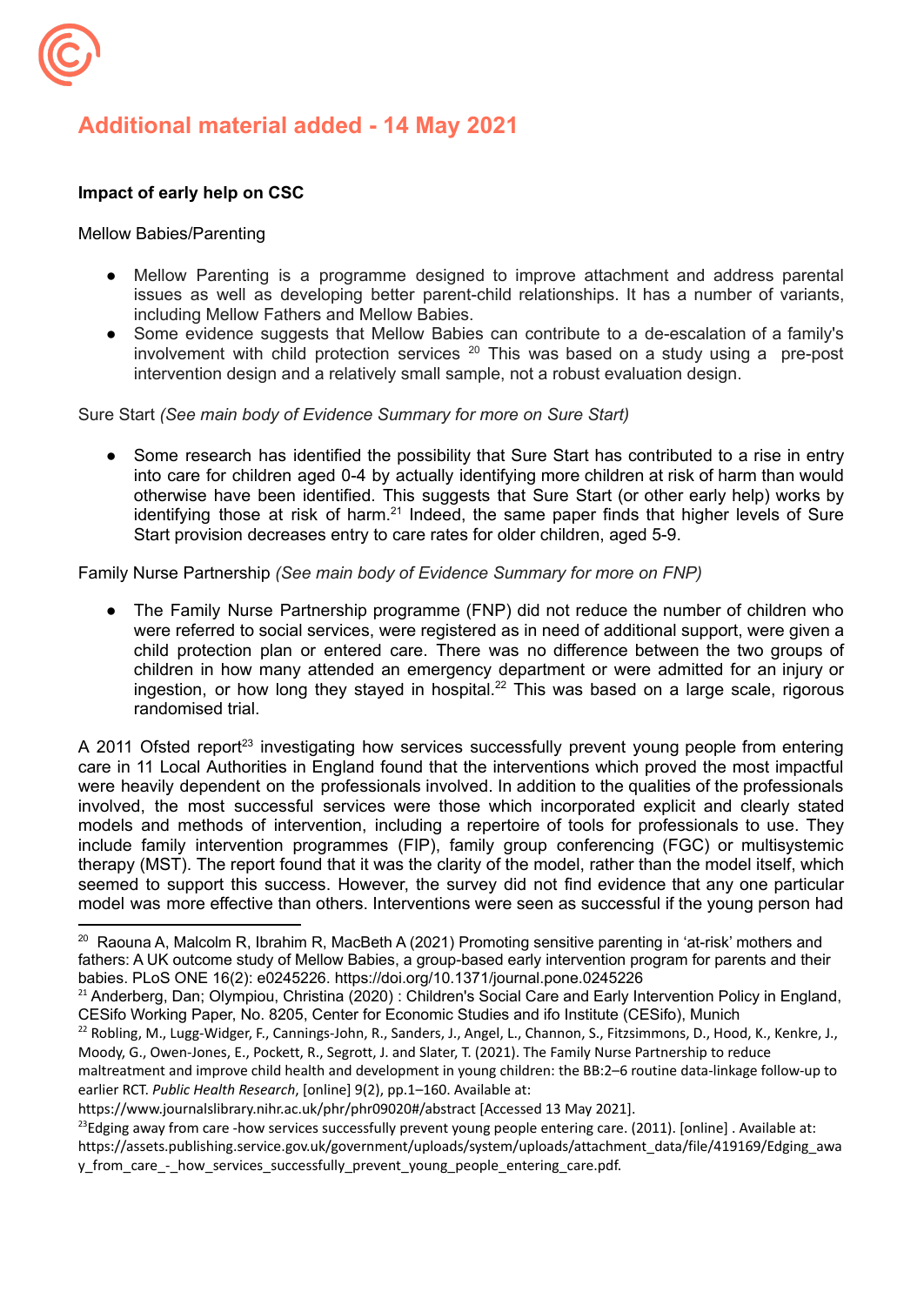

# **Additional material added - 14 May 2021**

### **Impact of early help on CSC**

#### Mellow Babies/Parenting

- Mellow Parenting is a programme designed to improve attachment and address parental issues as well as developing better parent-child relationships. It has a number of variants, including Mellow Fathers and Mellow Babies.
- Some evidence suggests that Mellow Babies can contribute to a de-escalation of a family's involvement with child protection services <sup>20</sup> This was based on a study using a pre-post intervention design and a relatively small sample, not a robust evaluation design.

Sure Start *(See main body of Evidence Summary for more on Sure Start)*

Some research has identified the possibility that Sure Start has contributed to a rise in entry into care for children aged 0-4 by actually identifying more children at risk of harm than would otherwise have been identified. This suggests that Sure Start (or other early help) works by identifying those at risk of harm.<sup>21</sup> Indeed, the same paper finds that higher levels of Sure Start provision decreases entry to care rates for older children, aged 5-9.

Family Nurse Partnership *(See main body of Evidence Summary for more on FNP)*

• The Family Nurse Partnership programme (FNP) did not reduce the number of children who were referred to social services, were registered as in need of additional support, were given a child protection plan or entered care. There was no difference between the two groups of children in how many attended an emergency department or were admitted for an injury or ingestion, or how long they stayed in hospital. <sup>22</sup> This was based on a large scale, rigorous randomised trial.

A 2011 Ofsted report<sup>23</sup> investigating how services successfully prevent young people from entering care in 11 Local Authorities in England found that the interventions which proved the most impactful were heavily dependent on the professionals involved. In addition to the qualities of the professionals involved, the most successful services were those which incorporated explicit and clearly stated models and methods of intervention, including a repertoire of tools for professionals to use. They include family intervention programmes (FIP), family group conferencing (FGC) or multisystemic therapy (MST). The report found that it was the clarity of the model, rather than the model itself, which seemed to support this success. However, the survey did not find evidence that any one particular model was more effective than others. Interventions were seen as successful if the young person had

<sup>&</sup>lt;sup>20</sup> Raouna A, Malcolm R, Ibrahim R, MacBeth A (2021) Promoting sensitive parenting in 'at-risk' mothers and fathers: A UK outcome study of Mellow Babies, a group-based early intervention program for parents and their babies. PLoS ONE 16(2): e0245226. https://doi.org/10.1371/journal.pone.0245226

<sup>&</sup>lt;sup>21</sup> Anderberg, Dan; Olympiou, Christina (2020) : Children's Social Care and Early Intervention Policy in England, CESifo Working Paper, No. 8205, Center for Economic Studies and ifo Institute (CESifo), Munich

<sup>&</sup>lt;sup>22</sup> Robling, M., Lugg-Widger, F., Cannings-John, R., Sanders, J., Angel, L., Channon, S., Fitzsimmons, D., Hood, K., Kenkre, J., Moody, G., Owen-Jones, E., Pockett, R., Segrott, J. and Slater, T. (2021). The Family Nurse Partnership to reduce

maltreatment and improve child health and development in young children: the BB:2–6 routine data-linkage follow-up to earlier RCT. *Public Health Research*, [online] 9(2), pp.1–160. Available at:

https://www.journalslibrary.nihr.ac.uk/phr/phr09020#/abstract [Accessed 13 May 2021].

<sup>&</sup>lt;sup>23</sup>Edging away from care -how services successfully prevent young people entering care. (2011). [online]. Available at: https://assets.publishing.service.gov.uk/government/uploads/system/uploads/attachment\_data/file/419169/Edging\_awa y\_from\_care\_-\_how\_services\_successfully\_prevent\_young\_people\_entering\_care.pdf.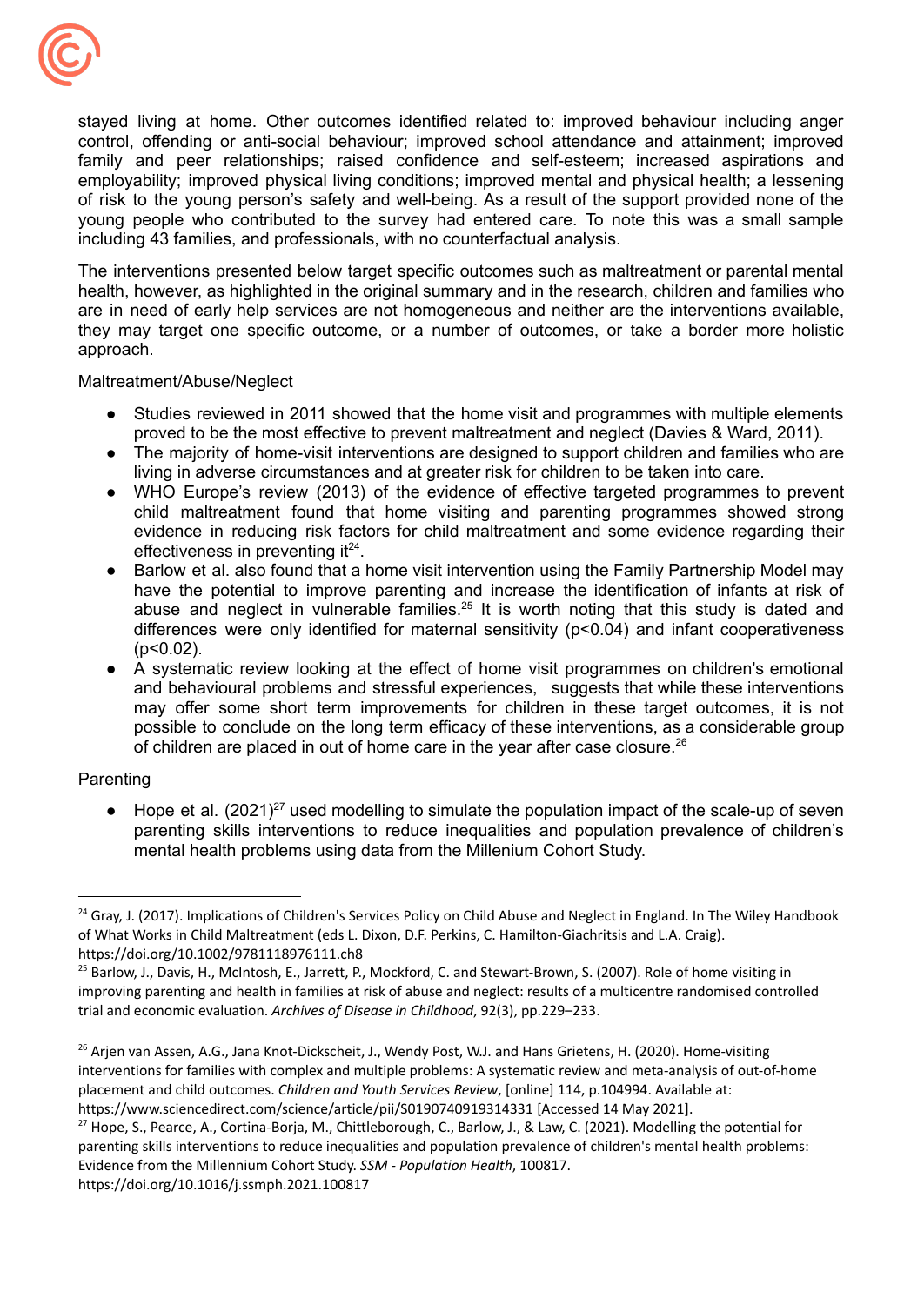

stayed living at home. Other outcomes identified related to: improved behaviour including anger control, offending or anti-social behaviour; improved school attendance and attainment; improved family and peer relationships; raised confidence and self-esteem; increased aspirations and employability; improved physical living conditions; improved mental and physical health; a lessening of risk to the young person's safety and well-being. As a result of the support provided none of the young people who contributed to the survey had entered care. To note this was a small sample including 43 families, and professionals, with no counterfactual analysis.

The interventions presented below target specific outcomes such as maltreatment or parental mental health, however, as highlighted in the original summary and in the research, children and families who are in need of early help services are not homogeneous and neither are the interventions available, they may target one specific outcome, or a number of outcomes, or take a border more holistic approach.

Maltreatment/Abuse/Neglect

- Studies reviewed in 2011 showed that the home visit and programmes with multiple elements proved to be the most effective to prevent maltreatment and neglect (Davies & Ward, 2011).
- The majority of home-visit interventions are designed to support children and families who are living in adverse circumstances and at greater risk for children to be taken into care.
- WHO Europe's review (2013) of the evidence of effective targeted programmes to prevent child maltreatment found that home visiting and parenting programmes showed strong evidence in reducing risk factors for child maltreatment and some evidence regarding their effectiveness in preventing it $24$ .
- Barlow et al. also found that a home visit intervention using the Family Partnership Model may have the potential to improve parenting and increase the identification of infants at risk of abuse and neglect in vulnerable families.<sup>25</sup> It is worth noting that this study is dated and differences were only identified for maternal sensitivity (p<0.04) and infant cooperativeness  $(p<0.02)$ .
- A systematic review looking at the effect of home visit programmes on children's emotional and behavioural problems and stressful experiences, suggests that while these interventions may offer some short term improvements for children in these target outcomes, it is not possible to conclude on the long term efficacy of these interventions, as a considerable group of children are placed in out of home care in the year after case closure.<sup>26</sup>

### Parenting

 $\bullet$  Hope et al. (2021)<sup>27</sup> used modelling to simulate the population impact of the scale-up of seven parenting skills interventions to reduce inequalities and population prevalence of children's mental health problems using data from the Millenium Cohort Study.

<sup>&</sup>lt;sup>24</sup> Gray, J. (2017). Implications of Children's Services Policy on Child Abuse and Neglect in England. In The Wiley Handbook of What Works in Child Maltreatment (eds L. Dixon, D.F. Perkins, C. Hamilton‐Giachritsis and L.A. Craig). <https://doi.org/10.1002/9781118976111.ch8>

<sup>&</sup>lt;sup>25</sup> Barlow, J., Davis, H., McIntosh, E., Jarrett, P., Mockford, C. and Stewart-Brown, S. (2007). Role of home visiting in improving parenting and health in families at risk of abuse and neglect: results of a multicentre randomised controlled trial and economic evaluation. *Archives of Disease in Childhood*, 92(3), pp.229–233.

<sup>&</sup>lt;sup>26</sup> Arjen van Assen, A.G., Jana Knot-Dickscheit, J., Wendy Post, W.J. and Hans Grietens, H. (2020). Home-visiting interventions for families with complex and multiple problems: A systematic review and meta-analysis of out-of-home placement and child outcomes. *Children and Youth Services Review*, [online] 114, p.104994. Available at: https://www.sciencedirect.com/science/article/pii/S0190740919314331 [Accessed 14 May 2021].

<sup>&</sup>lt;sup>27</sup> Hope, S., Pearce, A., Cortina-Borja, M., Chittleborough, C., Barlow, J., & Law, C. (2021). Modelling the potential for parenting skills interventions to reduce inequalities and population prevalence of children's mental health problems: Evidence from the Millennium Cohort Study. *SSM - Population Health*, 100817. https://doi.org/10.1016/j.ssmph.2021.100817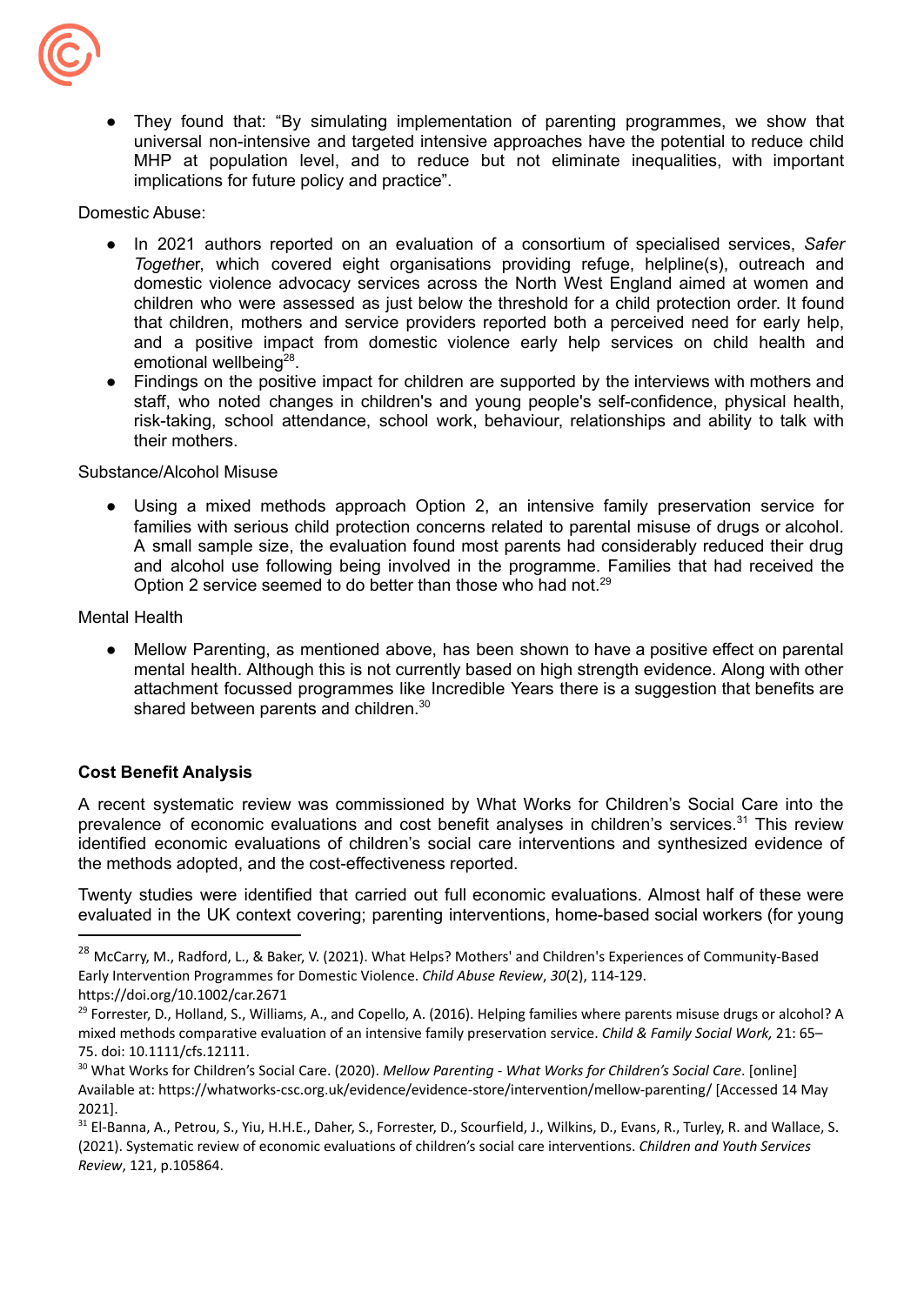

They found that: "By simulating implementation of parenting programmes, we show that universal non-intensive and targeted intensive approaches have the potential to reduce child MHP at population level, and to reduce but not eliminate inequalities, with important implications for future policy and practice".

Domestic Abuse:

- In 2021 authors reported on an evaluation of a consortium of specialised services, *Safer Togethe*r, which covered eight organisations providing refuge, helpline(s), outreach and domestic violence advocacy services across the North West England aimed at women and children who were assessed as just below the threshold for a child protection order. It found that children, mothers and service providers reported both a perceived need for early help, and a positive impact from domestic violence early help services on child health and emotional wellbeing<sup>28</sup>.
- Findings on the positive impact for children are supported by the interviews with mothers and staff, who noted changes in children's and young people's self-confidence, physical health, risk-taking, school attendance, school work, behaviour, relationships and ability to talk with their mothers.

### Substance/Alcohol Misuse

● Using a mixed methods approach Option 2, an intensive family preservation service for families with serious child protection concerns related to parental misuse of drugs or alcohol. A small sample size, the evaluation found most parents had considerably reduced their drug and alcohol use following being involved in the programme. Families that had received the Option 2 service seemed to do better than those who had not.<sup>29</sup>

### Mental Health

Mellow Parenting, as mentioned above, has been shown to have a positive effect on parental mental health. Although this is not currently based on high strength evidence. Along with other attachment focussed programmes like Incredible Years there is a suggestion that benefits are shared between parents and children.<sup>30</sup>

### **Cost Benefit Analysis**

A recent systematic review was commissioned by What Works for Children's Social Care into the prevalence of economic evaluations and cost benefit analyses in children's services.<sup>31</sup> This review identified economic evaluations of children's social care interventions and synthesized evidence of the methods adopted, and the cost-effectiveness reported.

Twenty studies were identified that carried out full economic evaluations. Almost half of these were evaluated in the UK context covering; parenting interventions, home-based social workers (for young

<sup>&</sup>lt;sup>28</sup> McCarry, M., Radford, L., & Baker, V. (2021). What Helps? Mothers' and Children's Experiences of Community-Based Early Intervention Programmes for Domestic Violence. *Child Abuse Review*, *30*(2), 114-129.

https://doi.org/10.1002/car.2671

 $^{29}$  Forrester, D., Holland, S., Williams, A., and Copello, A. (2016). Helping families where parents misuse drugs or alcohol? A mixed methods comparative evaluation of an intensive family preservation service. *Child & Family Social Work,* 21: 65– 75. doi: 10.1111/cfs.12111.

<sup>30</sup> What Works for Children's Social Care. (2020). *Mellow Parenting - What Works for Children's Social Care*. [online] Available at: https://whatworks-csc.org.uk/evidence/evidence-store/intervention/mellow-parenting/ [Accessed 14 May 2021].

<sup>31</sup> El-Banna, A., Petrou, S., Yiu, H.H.E., Daher, S., Forrester, D., Scourfield, J., Wilkins, D., Evans, R., Turley, R. and Wallace, S. (2021). Systematic review of economic evaluations of children's social care interventions. *Children and Youth Services Review*, 121, p.105864.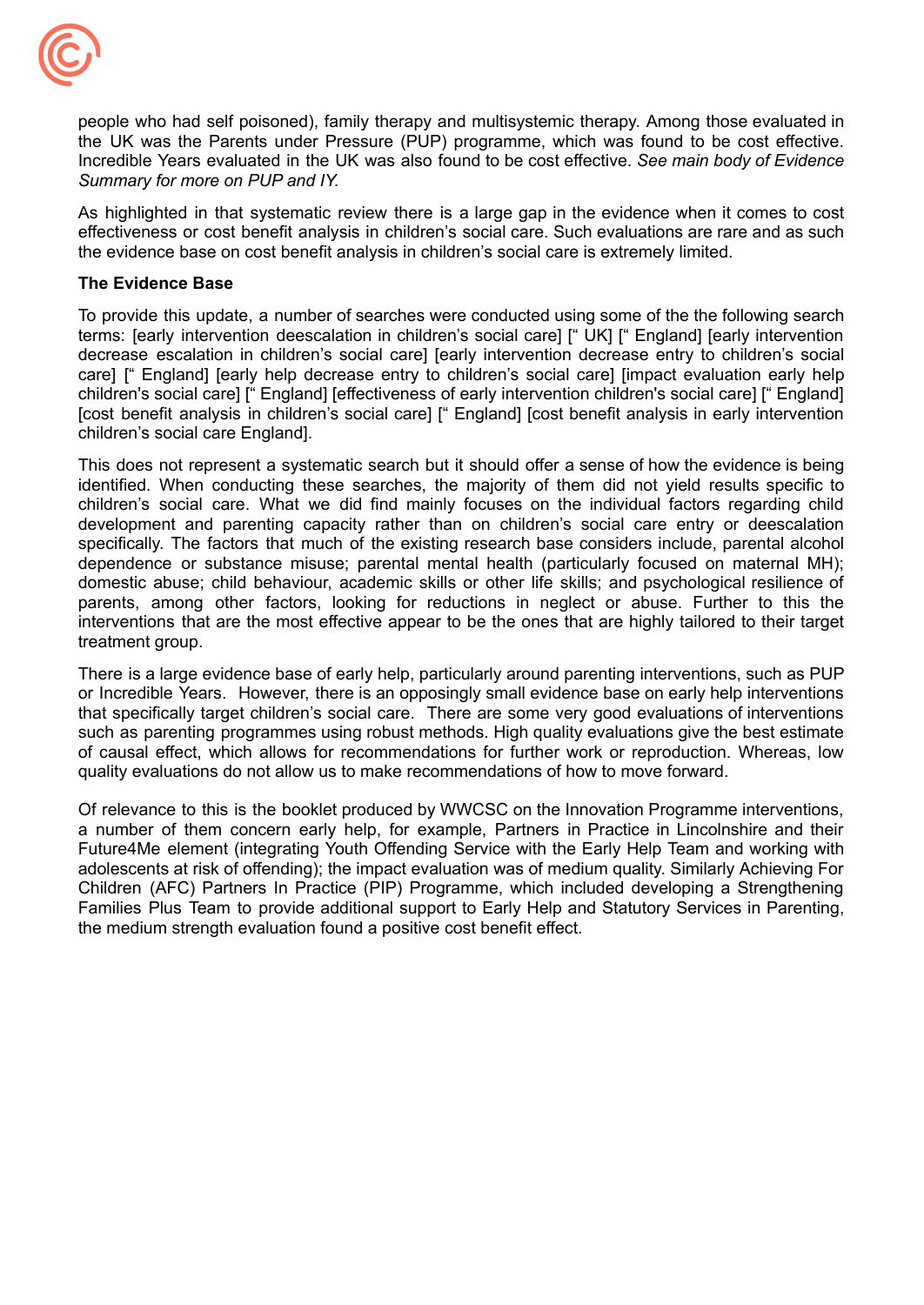

people who had self poisoned), family therapy and multisystemic therapy. Among those evaluated in the UK was the Parents under Pressure (PUP) programme, which was found to be cost effective. Incredible Years evaluated in the UK was also found to be cost effective. *See main body of Evidence Summary for more on PUP and IY.*

As highlighted in that systematic review there is a large gap in the evidence when it comes to cost effectiveness or cost benefit analysis in children's social care. Such evaluations are rare and as such the evidence base on cost benefit analysis in children's social care is extremely limited.

#### **The Evidence Base**

To provide this update, a number of searches were conducted using some of the the following search terms: [early intervention deescalation in children's social care] [" UK] [" England] [early intervention decrease escalation in children's social care] [early intervention decrease entry to children's social care] [" England] [early help decrease entry to children's social care] [impact evaluation early help children's social care] [" England] [effectiveness of early intervention children's social care] [" England] [cost benefit analysis in children's social care] [" England] [cost benefit analysis in early intervention children's social care England].

This does not represent a systematic search but it should offer a sense of how the evidence is being identified. When conducting these searches, the majority of them did not yield results specific to children's social care. What we did find mainly focuses on the individual factors regarding child development and parenting capacity rather than on children's social care entry or deescalation specifically. The factors that much of the existing research base considers include, parental alcohol dependence or substance misuse; parental mental health (particularly focused on maternal MH); domestic abuse; child behaviour, academic skills or other life skills; and psychological resilience of parents, among other factors, looking for reductions in neglect or abuse. Further to this the interventions that are the most effective appear to be the ones that are highly tailored to their target treatment group.

There is a large evidence base of early help, particularly around parenting interventions, such as PUP or Incredible Years. However, there is an opposingly small evidence base on early help interventions that specifically target children's social care. There are some very good evaluations of interventions such as parenting programmes using robust methods. High quality evaluations give the best estimate of causal effect, which allows for recommendations for further work or reproduction. Whereas, low quality evaluations do not allow us to make recommendations of how to move forward.

Of relevance to this is the booklet produced by WWCSC on the Innovation Programme interventions, a number of them concern early help, for example, Partners in Practice in Lincolnshire and their Future4Me element (integrating Youth Offending Service with the Early Help Team and working with adolescents at risk of offending); the impact evaluation was of medium quality. Similarly Achieving For Children (AFC) Partners In Practice (PIP) Programme, which included developing a Strengthening Families Plus Team to provide additional support to Early Help and Statutory Services in Parenting, the medium strength evaluation found a positive cost benefit effect.